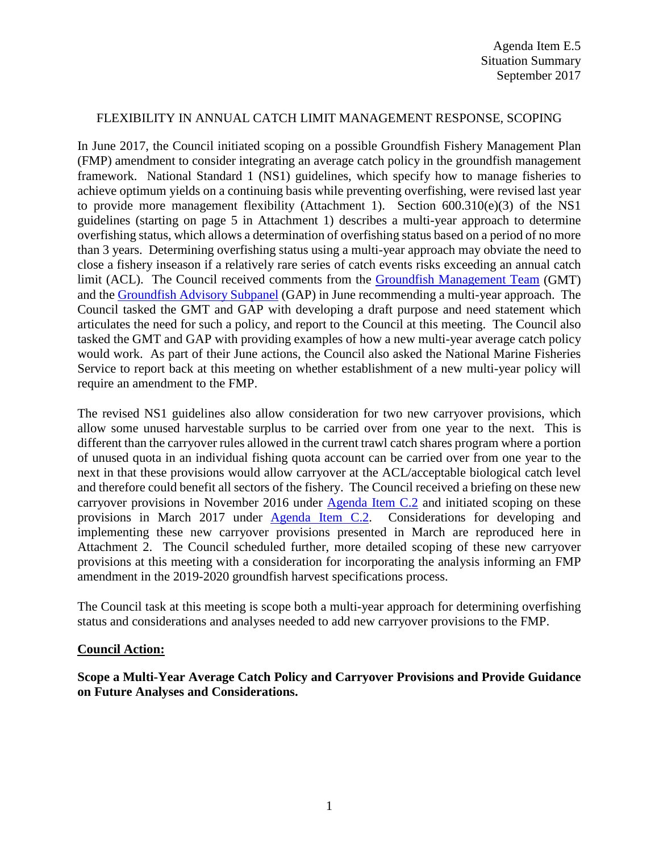## FLEXIBILITY IN ANNUAL CATCH LIMIT MANAGEMENT RESPONSE, SCOPING

In June 2017, the Council initiated scoping on a possible Groundfish Fishery Management Plan (FMP) amendment to consider integrating an average catch policy in the groundfish management framework. National Standard 1 (NS1) guidelines, which specify how to manage fisheries to achieve optimum yields on a continuing basis while preventing overfishing, were revised last year to provide more management flexibility (Attachment 1). Section 600.310(e)(3) of the NS1 guidelines (starting on page 5 in Attachment 1) describes a multi-year approach to determine overfishing status, which allows a determination of overfishing status based on a period of no more than 3 years. Determining overfishing status using a multi-year approach may obviate the need to close a fishery inseason if a relatively rare series of catch events risks exceeding an annual catch limit (ACL). The Council received comments from the [Groundfish Management Team](http://www.pcouncil.org/wp-content/uploads/2017/06/F5a_Sup_GMT_Rpt_MultiYearAvgCatchPolicy_Jun2017BB.pdf) (GMT) and the [Groundfish Advisory Subpanel](http://www.pcouncil.org/wp-content/uploads/2017/06/F5a_Sup_GAP_Rpt_MultiYearAvgCatchPolicy_Jun2017BB.pdf) (GAP) in June recommending a multi-year approach. The Council tasked the GMT and GAP with developing a draft purpose and need statement which articulates the need for such a policy, and report to the Council at this meeting. The Council also tasked the GMT and GAP with providing examples of how a new multi-year average catch policy would work. As part of their June actions, the Council also asked the National Marine Fisheries Service to report back at this meeting on whether establishment of a new multi-year policy will require an amendment to the FMP.

The revised NS1 guidelines also allow consideration for two new carryover provisions, which allow some unused harvestable surplus to be carried over from one year to the next. This is different than the carryover rules allowed in the current trawl catch shares program where a portion of unused quota in an individual fishing quota account can be carried over from one year to the next in that these provisions would allow carryover at the ACL/acceptable biological catch level and therefore could benefit all sectors of the fishery. The Council received a briefing on these new carryover provisions in November 2016 under [Agenda Item C.2](http://www.pcouncil.org/wp-content/uploads/2016/10/C2__SitSum_NS_Guidelines_Update_NOV2016BB.pdf) and initiated scoping on these provisions in March 2017 under [Agenda Item C.2.](http://www.pcouncil.org/wp-content/uploads/2017/02/C2__SitSum_NS1_CarryoverProvisions_Mar2017BB.pdf) Considerations for developing and implementing these new carryover provisions presented in March are reproduced here in Attachment 2. The Council scheduled further, more detailed scoping of these new carryover provisions at this meeting with a consideration for incorporating the analysis informing an FMP amendment in the 2019-2020 groundfish harvest specifications process.

The Council task at this meeting is scope both a multi-year approach for determining overfishing status and considerations and analyses needed to add new carryover provisions to the FMP.

## **Council Action:**

**Scope a Multi-Year Average Catch Policy and Carryover Provisions and Provide Guidance on Future Analyses and Considerations.**